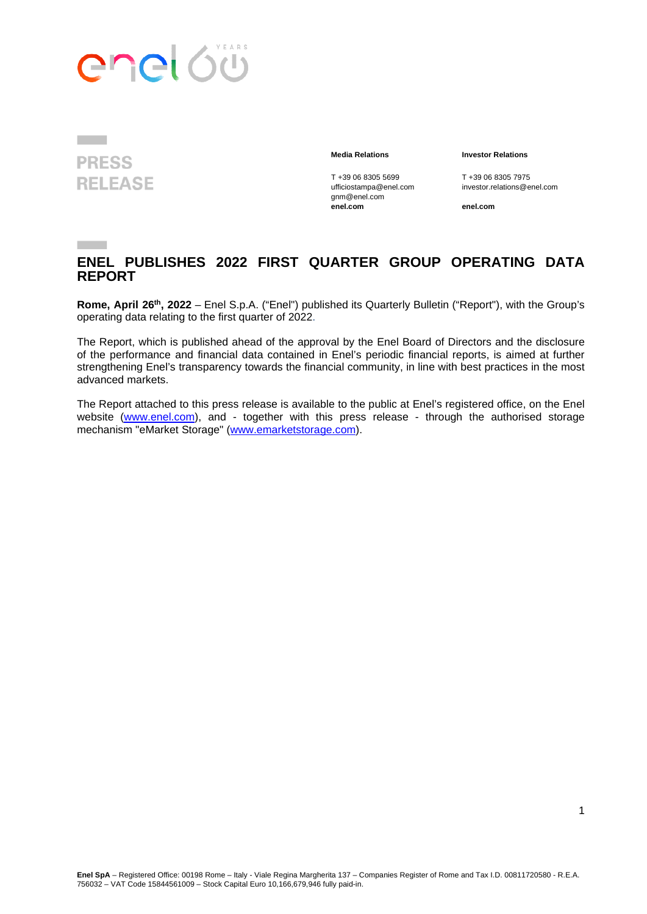



#### **Media Relations Investor Relations**

gnm@enel.com **enel.com enel.com**

T +39 06 8305 5699 T +39 06 8305 7975<br>ufficiostampa@enel.com investor.relations@e investor.relations@enel.com

#### **ENEL PUBLISHES 2022 FIRST QUARTER GROUP OPERATING DATA REPORT**

**Rome, April 26th, 2022** – Enel S.p.A. ("Enel") published its Quarterly Bulletin ("Report"), with the Group's operating data relating to the first quarter of 2022.

The Report, which is published ahead of the approval by the Enel Board of Directors and the disclosure of the performance and financial data contained in Enel's periodic financial reports, is aimed at further strengthening Enel's transparency towards the financial community, in line with best practices in the most advanced markets.

The Report attached to this press release is available to the public at Enel's registered office, on the Enel website [\(www.enel.com\)](http://www.enel.com/), and - together with this press release - through the authorised storage mechanism "eMarket Storage" [\(www.emarketstorage.com\)](http://www.emarketstorage.com/).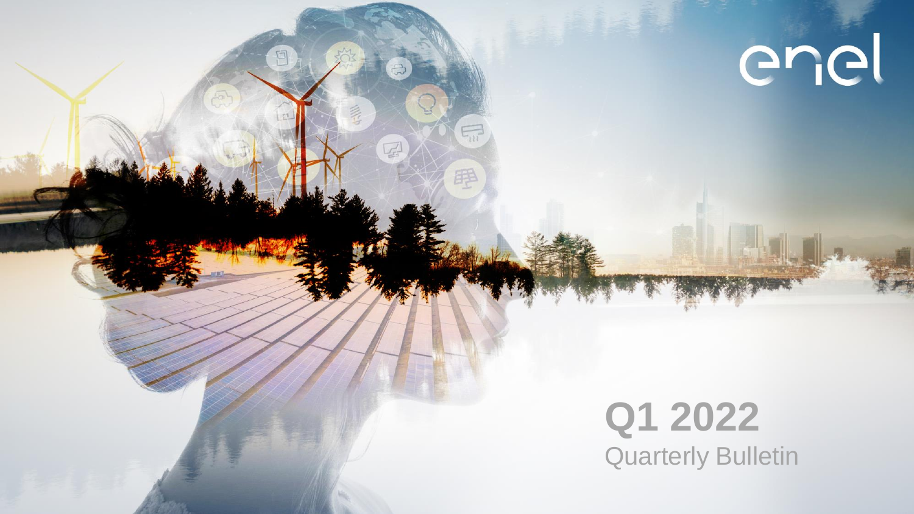

回

 $\overline{\epsilon_{\mathfrak{m}}}$ 

甲

 $\sqrt{2}$ 

enel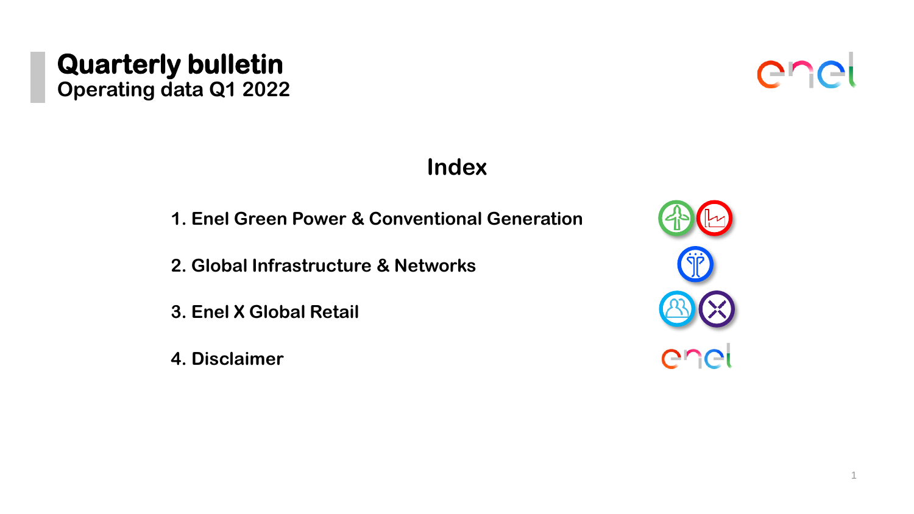#### 1

#### **Quarterly bulletin Operating data Q1 2022**

- **1. Enel Green Power & Conventional Generation**
- **2. Global Infrastructure & Networks**
- **3. Enel X Global Retail**
- **4. Disclaimer**





#### **Index**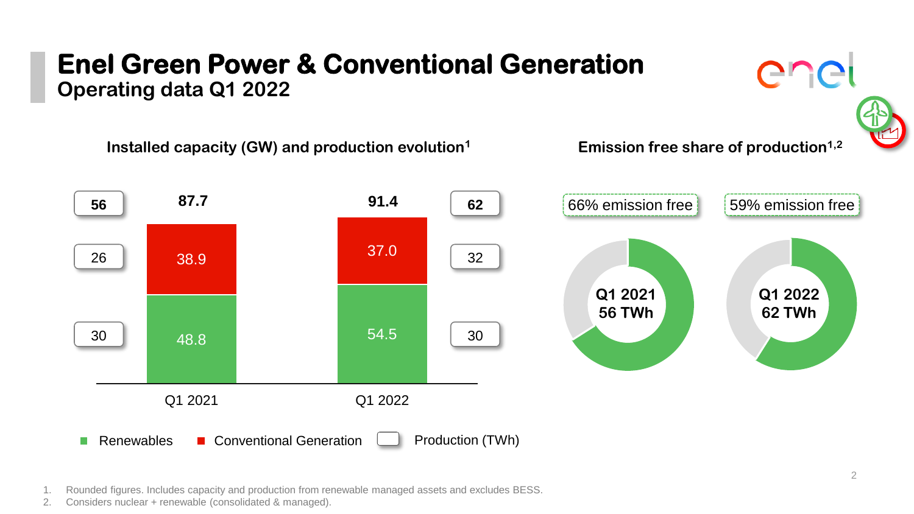### **Enel Green Power & Conventional Generation Operating data Q1 2022**





Installed capacity (GW) and production evolution<sup>1</sup> Emission free share of production<sup>1,2</sup>



1. Rounded figures. Includes capacity and production from renewable managed assets and excludes BESS.

2. Considers nuclear + renewable (consolidated & managed).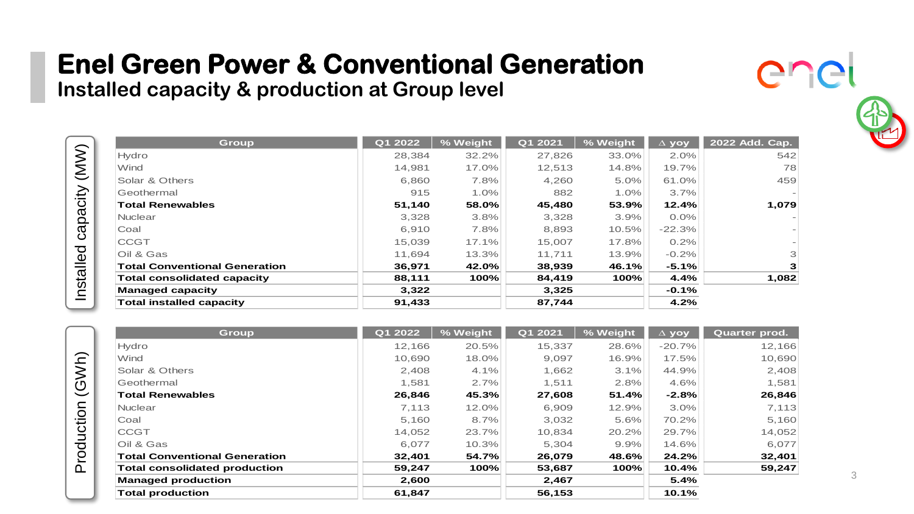**Installed capacity & production at Group level**

| <b>Group</b>                         | Q1 2022 | % Weight | Q1 2021 | % Weight | $\Delta$ yoy | 2022 Add. Cap.           |
|--------------------------------------|---------|----------|---------|----------|--------------|--------------------------|
| Hydro                                | 28.384  | 32.2%    | 27.826  | 33.0%    | 2.0%         | 542                      |
| Wind                                 | 14.981  | 17.0%    | 12.513  | 14.8%    | 19.7%        | 78                       |
| Solar & Others                       | 6,860   | 7.8%     | 4,260   | 5.0%     | 61.0%        | 459                      |
| Geothermal                           | 915     | 1.0%     | 882     | 1.0%     | 3.7%         | $\overline{\phantom{a}}$ |
| <b>Total Renewables</b>              | 51,140  | 58.0%    | 45.480  | 53.9%    | 12.4%        | 1,079                    |
| Nuclear                              | 3,328   | 3.8%     | 3,328   | 3.9%     | $0.0\%$      | $\overline{\phantom{m}}$ |
| Coal                                 | 6,910   | 7.8%     | 8,893   | 10.5%    | $-22.3%$     | $\overline{\phantom{m}}$ |
| <b>CCGT</b>                          | 15.039  | 17.1%    | 15.007  | 17.8%    | 0.2%         | $\overline{\phantom{a}}$ |
| Oil & Gas                            | 11.694  | 13.3%    | 11.711  | 13.9%    | $-0.2%$      | 3                        |
| <b>Total Conventional Generation</b> | 36.971  | 42.0%    | 38.939  | 46.1%    | $-5.1%$      | з                        |
| <b>Total consolidated capacity</b>   | 88,111  | 100%     | 84,419  | 100%     | 4.4%         | 1,082                    |
| <b>Managed capacity</b>              | 3.322   |          | 3,325   |          | $-0.1%$      |                          |
| Total installed capacity             | 91,433  |          | 87,744  |          | 4.2%         |                          |

| Group                                | Q1 2022 | % Weight | Q1 2021 | % Weight | $\Delta$ yoy | Quarter prod. |
|--------------------------------------|---------|----------|---------|----------|--------------|---------------|
| Hydro                                | 12.166  | 20.5%    | 15.337  | 28.6%    | $-20.7%$     | 12.166        |
| Wind                                 | 10,690  | 18.0%    | 9,097   | 16.9%    | 17.5%        | 10,690        |
| Solar & Others                       | 2,408   | 4.1%     | 1,662   | 3.1%     | 44.9%        | 2,408         |
| Geothermal                           | 1.581   | 2.7%     | 1.511   | 2.8%     | 4.6%         | 1,581         |
| <b>Total Renewables</b>              | 26,846  | 45.3%    | 27,608  | 51.4%    | $-2.8%$      | 26,846        |
| Nuclear                              | 7.113   | 12.0%    | 6.909   | 12.9%    | 3.0%         | 7,113         |
| Coal                                 | 5,160   | 8.7%     | 3,032   | 5.6%     | 70.2%        | 5,160         |
| <b>CCGT</b>                          | 14,052  | 23.7%    | 10,834  | 20.2%    | 29.7%        | 14,052        |
| Oil & Gas                            | 6,077   | 10.3%    | 5,304   | 9.9%     | 14.6%        | 6,077         |
| <b>Total Conventional Generation</b> | 32,401  | 54.7%    | 26.079  | 48.6%    | 24.2%        | 32,401        |
| <b>Total consolidated production</b> | 59,247  | 100%     | 53,687  | 100%     | 10.4%        | 59,247        |
| <b>Managed production</b>            | 2,600   |          | 2,467   |          | 5.4%         |               |
| <b>Total production</b>              | 61,847  |          | 56.153  |          | 10.1%        |               |



er

**CIC**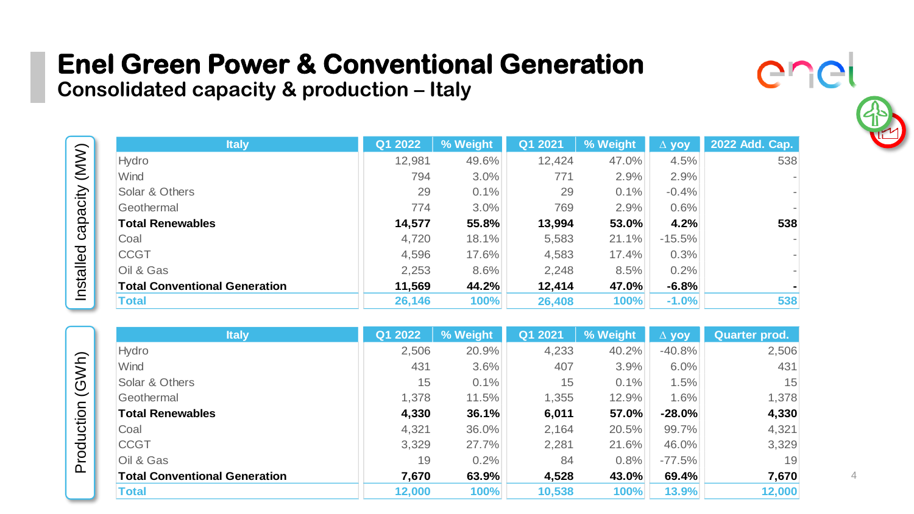**Consolidated capacity & production – Italy**

| <b>Italy</b>                         | Q1 2022 | % Weight | Q1 2021 | % Weight | $\Delta$ yoy | 2022 Add. Cap.               |
|--------------------------------------|---------|----------|---------|----------|--------------|------------------------------|
| Hydro                                | 12,981  | 49.6%    | 12,424  | 47.0%    | 4.5%         | 538                          |
| Wind                                 | 794     | $3.0\%$  | 771     | 2.9%     | 2.9%         | $\overline{a}$               |
| Solar & Others                       | 29      | 0.1%     | 29      | 0.1%     | $-0.4%$      | $\overline{a}$               |
| Geothermal                           | 774     | $3.0\%$  | 769     | 2.9%     | 0.6%         | $\overline{a}$               |
| <b>Total Renewables</b>              | 14,577  | 55.8%    | 13,994  | 53.0%    | 4.2%         | 538                          |
| Coal                                 | 4,720   | 18.1%    | 5,583   | 21.1%    | $-15.5%$     | $\overline{\phantom{a}}$     |
| <b>CCGT</b>                          | 4,596   | 17.6%    | 4,583   | 17.4%    | 0.3%         | $\overline{a}$               |
| Oil & Gas                            | 2,253   | 8.6%     | 2,248   | 8.5%     | 0.2%         | $\qquad \qquad \blacksquare$ |
| <b>Total Conventional Generation</b> | 11.569  | 44.2%    | 12.414  | 47.0%    | $-6.8%$      | $\blacksquare$               |
| <b>Total</b>                         | 26,146  | 100%     | 26,408  | 100%     | $-1.0%$      | 538                          |

| <b>Italy</b>                         | Q1 2022 | % Weight | Q1 2021 | % Weight | $\Delta$ yoy | Quarter prod. |
|--------------------------------------|---------|----------|---------|----------|--------------|---------------|
| Hydro                                | 2,506   | 20.9%    | 4,233   | 40.2%    | $-40.8%$     | 2,506         |
| Wind                                 | 431     | 3.6%     | 407     | 3.9%     | 6.0%         | 431           |
| Solar & Others                       | 15      | 0.1%     | 15      | 0.1%     | 1.5%         | 15            |
| Geothermal                           | 1.378   | 11.5%    | 1,355   | 12.9%    | 1.6%         | 1,378         |
| <b>Total Renewables</b>              | 4,330   | 36.1%    | 6,011   | 57.0%    | $-28.0\%$    | 4,330         |
| Coal                                 | 4,321   | 36.0%    | 2,164   | 20.5%    | 99.7%        | 4,321         |
| <b>CCGT</b>                          | 3,329   | 27.7%    | 2,281   | 21.6%    | 46.0%        | 3,329         |
| Oil & Gas                            | 19      | 0.2%     | 84      | 0.8%     | $-77.5%$     | 19            |
| <b>Total Conventional Generation</b> | 7,670   | 63.9%    | 4,528   | 43.0%    | 69.4%        | 7,670         |
| Total                                | 12,000  | 100%     | 10,538  | 100%     | 13.9%        | 12,000        |

Production (GWh) Production (GWh)

Installed capacity (MW)

Installed capacity (MW)

er

**CIL**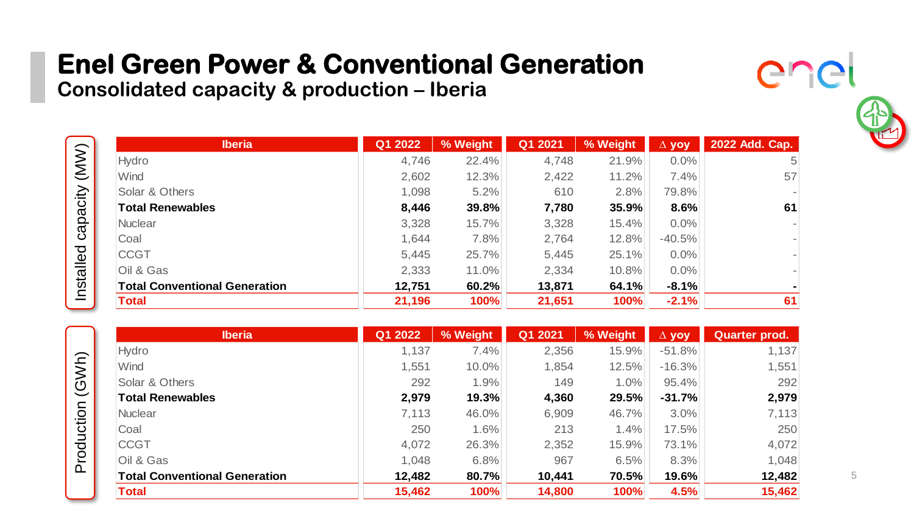**Consolidated capacity & production – Iberia**

| <b>Iberia</b>                        | Q1 2022 | % Weight | Q1 2021 | % Weight | $\Delta$ yoy | 2022 Add. Cap. |
|--------------------------------------|---------|----------|---------|----------|--------------|----------------|
| Hydro                                | 4,746   | 22.4%    | 4,748   | 21.9%    | $0.0\%$      | 5              |
| Wind                                 | 2,602   | 12.3%    | 2,422   | 11.2%    | 7.4%         | 57             |
| Solar & Others                       | 1,098   | 5.2%     | 610     | 2.8%     | 79.8%        | ۰              |
| <b>Total Renewables</b>              | 8.446   | 39.8%    | 7,780   | 35.9%    | 8.6%         | 61             |
| <b>Nuclear</b>                       | 3,328   | 15.7%    | 3,328   | 15.4%    | $0.0\%$      | ۰              |
| Coal                                 | 1.644   | 7.8%     | 2,764   | 12.8%    | $-40.5%$     | -              |
| <b>CCGT</b>                          | 5,445   | 25.7%    | 5,445   | 25.1%    | 0.0%         | -              |
| Oil & Gas                            | 2,333   | 11.0%    | 2,334   | 10.8%    | $0.0\%$      | ۰              |
| <b>Total Conventional Generation</b> | 12,751  | 60.2%    | 13,871  | 64.1%    | $-8.1%$      | ٠              |
| Total                                | 21,196  | 100%     | 21,651  | 100%     | $-2.1%$      | 61             |

| <b>Iberia</b>                        | Q1 2022 | % Weight | Q1 2021 | % Weight | $\Delta$ yoy | Quarter prod. |
|--------------------------------------|---------|----------|---------|----------|--------------|---------------|
| Hydro                                | 1,137   | 7.4%     | 2,356   | 15.9%    | $-51.8%$     | 1,137         |
| Wind                                 | 1.551   | $10.0\%$ | 1,854   | 12.5%    | $-16.3%$     | 1,551         |
| Solar & Others                       | 292     | 1.9%     | 149     | 1.0%     | 95.4%        | 292           |
| <b>Total Renewables</b>              | 2,979   | 19.3%    | 4,360   | 29.5%    | $-31.7%$     | 2,979         |
| <b>Nuclear</b>                       | 7,113   | 46.0%    | 6,909   | 46.7%    | $3.0\%$      | 7,113         |
| Coal                                 | 250     | 1.6%     | 213     | 1.4%     | 17.5%        | 250           |
| <b>CCGT</b>                          | 4,072   | 26.3%    | 2,352   | 15.9%    | 73.1%        | 4,072         |
| Oil & Gas                            | 1,048   | 6.8%     | 967     | 6.5%     | 8.3%         | 1,048         |
| <b>Total Conventional Generation</b> | 12.482  | 80.7%    | 10.441  | 70.5%    | 19.6%        | 12,482        |
| <b>Total</b>                         | 15,462  | 100%     | 14,800  | 100%     | 4.5%         | 15,462        |



Installed capacity (MW)

Installed capacity (MW)

er

**CI**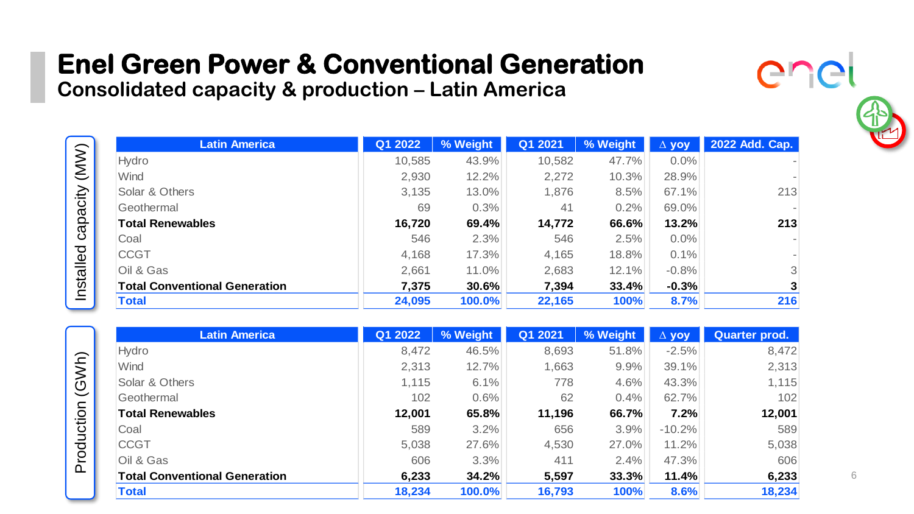**Consolidated capacity & production – Latin America**

Installed capacity (MW)

Installed capacity (MW)

Production (GWh)

Production (GWh)

| <b>Latin America</b>                 | Q1 2022 | % Weight | Q1 2021 | % Weight | $\Delta$ yoy | 2022 Add. Cap.               |
|--------------------------------------|---------|----------|---------|----------|--------------|------------------------------|
| Hydro                                | 10,585  | 43.9%    | 10,582  | 47.7%    | $0.0\%$      | $\qquad \qquad \blacksquare$ |
| Wind                                 | 2,930   | 12.2%    | 2,272   | 10.3%    | 28.9%        | $\qquad \qquad \blacksquare$ |
| Solar & Others                       | 3,135   | 13.0%    | 1,876   | 8.5%     | 67.1%        | 213                          |
| Geothermal                           | 69      | 0.3%     | 41      | 0.2%     | 69.0%        | $\overline{\phantom{a}}$     |
| <b>Total Renewables</b>              | 16,720  | 69.4%    | 14,772  | 66.6%    | 13.2%        | 213                          |
| Coal                                 | 546     | 2.3%     | 546     | 2.5%     | $0.0\%$      | $\overline{\phantom{a}}$     |
| <b>CCGT</b>                          | 4,168   | 17.3%    | 4,165   | 18.8%    | 0.1%         | $\qquad \qquad \blacksquare$ |
| Oil & Gas                            | 2,661   | 11.0%    | 2,683   | 12.1%    | $-0.8%$      | 3                            |
| <b>Total Conventional Generation</b> | 7,375   | 30.6%    | 7,394   | 33.4%    | $-0.3%$      | 3                            |
| <b>Total</b>                         | 24,095  | 100.0%   | 22,165  | 100%     | 8.7%         | 216                          |

| <b>Latin America</b>                 | Q1 2022 | % Weight | Q1 2021 | % Weight | $\Delta$ yoy | Quarter prod. |
|--------------------------------------|---------|----------|---------|----------|--------------|---------------|
| Hydro                                | 8,472   | 46.5%    | 8,693   | 51.8%    | $-2.5%$      | 8,472         |
| Wind                                 | 2,313   | 12.7%    | 1,663   | 9.9%     | 39.1%        | 2,313         |
| Solar & Others                       | 1,115   | 6.1%     | 778     | 4.6%     | 43.3%        | 1,115         |
| Geothermal                           | 102     | 0.6%     | 62      | 0.4%     | 62.7%        | 102           |
| <b>Total Renewables</b>              | 12,001  | 65.8%    | 11,196  | 66.7%    | 7.2%         | 12,001        |
| Coal                                 | 589     | 3.2%     | 656     | 3.9%     | $-10.2%$     | 589           |
| <b>CCGT</b>                          | 5,038   | 27.6%    | 4,530   | $27.0\%$ | 11.2%        | 5,038         |
| Oil & Gas                            | 606     | 3.3%     | 411     | 2.4%     | 47.3%        | 606           |
| <b>Total Conventional Generation</b> | 6,233   | 34.2%    | 5,597   | 33.3%    | 11.4%        | 6,233         |
| <b>Total</b>                         | 18,234  | 100.0%   | 16,793  | 100%     | 8.6%         | 18,234        |



er

**CI**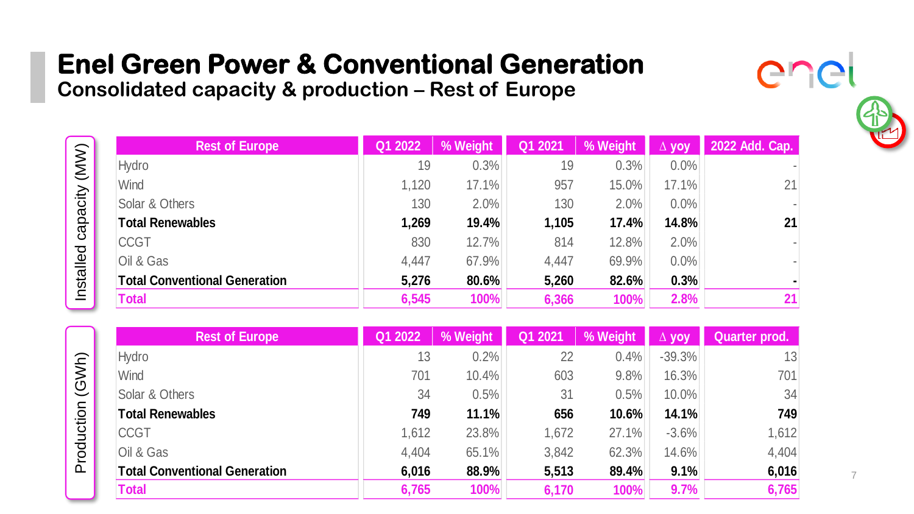**Consolidated capacity & production – Rest of Europe**

|                          | <b>Rest of Europe</b>                | Q1 2022 | % Weight | Q1 2021 | % Weight | $\Delta$ vov | 2022 Add. Cap.               |
|--------------------------|--------------------------------------|---------|----------|---------|----------|--------------|------------------------------|
| $(\mathsf{M}\mathsf{M})$ | Hydro                                | 19      | 0.3%     | 19      | 0.3%     | 0.0%         | $\overline{\phantom{a}}$     |
|                          | Wind                                 | 1,120   | 17.1%    | 957     | 15.0%    | 17.1%        | 21                           |
| capacity                 | Solar & Others                       | 130     | 2.0%     | 130     | 2.0%     | $0.0\%$      | $\overline{\phantom{a}}$     |
|                          | <b>Total Renewables</b>              | 1,269   | 19.4%    | 1,105   | 17.4%    | 14.8%        | 21                           |
|                          | <b>CCGT</b>                          | 830     | 12.7%    | 814     | 12.8%    | 2.0%         | $\qquad \qquad \blacksquare$ |
| Installed                | Oil & Gas                            | 4,447   | 67.9%    | 4,447   | 69.9%    | $0.0\%$      | $\overline{\phantom{a}}$     |
|                          | <b>Total Conventional Generation</b> | 5,276   | 80.6%    | 5,260   | 82.6%    | 0.3%         | $\blacksquare$               |
|                          | Total                                | 6,545   | 100%     | 6,366   | 100%     | 2.8%         | 21                           |

| <b>Rest of Europe</b>                | Q1 2022 | % Weight | Q1 2021 | % Weight | <b>VOV</b> | Quarter prod. |
|--------------------------------------|---------|----------|---------|----------|------------|---------------|
| Hydro                                | 13      | 0.2%     | 22      | 0.4%     | $-39.3%$   | 13            |
| Wind                                 | 701     | $10.4\%$ | 603     | 9.8%     | 16.3%      | 701           |
| Solar & Others                       | 34      | 0.5%     | 31      | 0.5%     | 10.0%      | 34            |
| <b>Total Renewables</b>              | 749     | 11.1%    | 656     | 10.6%    | 14.1%      | 749           |
| <b>CCGT</b>                          | 1,612   | 23.8%    | 1,672   | 27.1%    | $-3.6%$    | 1,612         |
| Oil & Gas                            | 4,404   | 65.1%    | 3,842   | 62.3%    | 14.6%      | 4,404         |
| <b>Total Conventional Generation</b> | 6,016   | 88.9%    | 5,513   | 89.4%    | 9.1%       | 6,016         |
| <b>Total</b>                         | 6,765   | 100%     | 6,170   | 100%     | 9.7%       | 6,765         |

Production (GWh) Production (GWh)

Installed capacity (MW)

7

 $\bigcap$ r

 $\cap$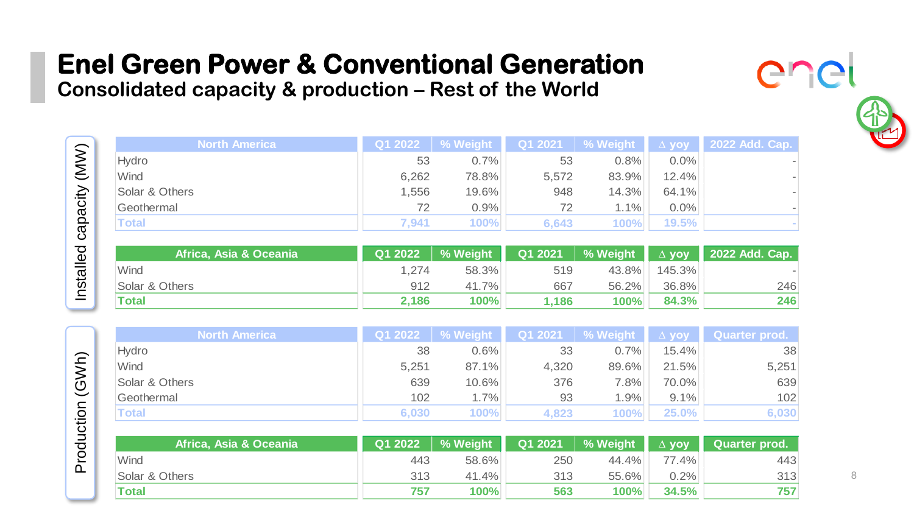**Consolidated capacity & production – Rest of the World** 

Installed capacity (MW)

Installed capacity (MW)

Production (GWh)

Production (GWh)

| <b>North America</b>   | Q1 2022 | % Weight | Q1 2021 | % Weight | $\Delta$ yoy | 2022 Add. Cap. |
|------------------------|---------|----------|---------|----------|--------------|----------------|
| Hydro                  | 53      | 0.7%     | 53      | 0.8%     | $0.0\%$      | ٠              |
| Wind                   | 6,262   | 78.8%    | 5,572   | 83.9%    | 12.4%        |                |
| Solar & Others         | 1,556   | 19.6%    | 948     | 14.3%    | 64.1%        |                |
| Geothermal             | 72      | 0.9%     | 72      | 1.1%     | $0.0\%$      |                |
| Total                  | 7,941   | 100%     | 6,643   | 100%     | 19.5%        |                |
|                        |         |          |         |          |              |                |
| Africa, Asia & Oceania | Q1 2022 | % Weight | Q1 2021 | % Weight | $\Delta$ yoy | 2022 Add. Cap. |
| <b>Mind</b>            | 1 $274$ | 58 3%    | 519     | 43.8%    | 145.3%       |                |

| Africa. Asia & Oceania | Q1 2022 | % Weight | Q1 2021 | % Weight | $\Delta$ vov | 2022 Add. Cap. |
|------------------------|---------|----------|---------|----------|--------------|----------------|
| Wind                   | 1.274   | 58.3%    | 519     | 43.8%    | 145.3%       |                |
| Solar & Others         | 912     | 41.7%    | 667     | 56.2%    | $36.8\%$     | 246            |
| <b>Total</b>           | 2.186   | 100%     | 1.186   | 100%     | 84.3%        | 246            |

|  | <b>North America</b> | Q1 2022 | % Weight    | Q1 2021 | │ % Weight │ | $\Delta$ yoy | Quarter prod. |
|--|----------------------|---------|-------------|---------|--------------|--------------|---------------|
|  | Hvdro                | 38      | 0.6%        | 33      | 0.7%         | 15.4%        | 38            |
|  | Wind                 | 5,251   | 87.1%       | 4,320   | 89.6%        | 21.5%        | 5,251         |
|  | Solar & Others       | 639     | 10.6%       | 376     | $7.8\%$      | 70.0%        | 639           |
|  | Geothermal           | 102     | 1.7%        | 93      | 1.9%         | 9.1%         | 102           |
|  | <b>Total</b>         | 6,030   | <b>100%</b> | 4.823   | 100%         | 25.0%        | 6,030         |

| 'Africa. Asia & Oceania i | Q1 2022 | % Weight | Q1 2021 | % Weight | $\Delta$ vov | Quarter prod. |
|---------------------------|---------|----------|---------|----------|--------------|---------------|
| Wind                      | 443     | 58.6%    | 250     | 44.4%    | $77.4\%$     | 443           |
| Solar & Others            | 313     | 41.4%    | 313     | 55.6%    | 0.2%         | 313           |
| Total                     | 757     | 100%     | 563     | 100%     | 34.5%        | 757           |

ICI

er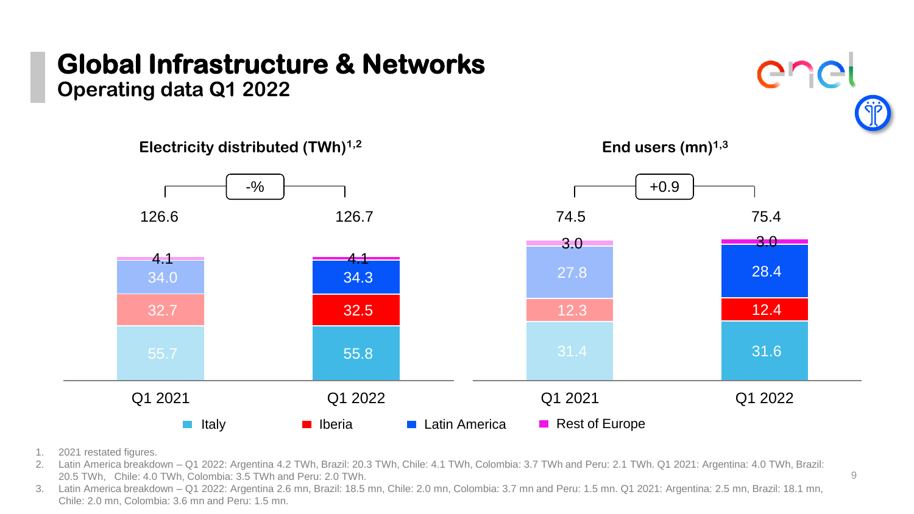# **Global Infrastructure & Networks**

**Operating data Q1 2022**



- 1. 2021 restated figures.
- 2. Latin America breakdown Q1 2022: Argentina 4.2 TWh, Brazil: 20.3 TWh, Chile: 4.1 TWh, Colombia: 3.7 TWh and Peru: 2.1 TWh. Q1 2021: Argentina: 4.0 TWh, Brazil: 20.5 TWh, Chile: 4.0 TWh, Colombia: 3.5 TWh and Peru: 2.0 TWh.
- 3. Latin America breakdown Q1 2022: Argentina 2.6 mn, Brazil: 18.5 mn, Chile: 2.0 mn, Colombia: 3.7 mn and Peru: 1.5 mn. Q1 2021: Argentina: 2.5 mn, Brazil: 18.1 mn, Chile: 2.0 mn, Colombia: 3.6 mn and Peru: 1.5 mn.

enei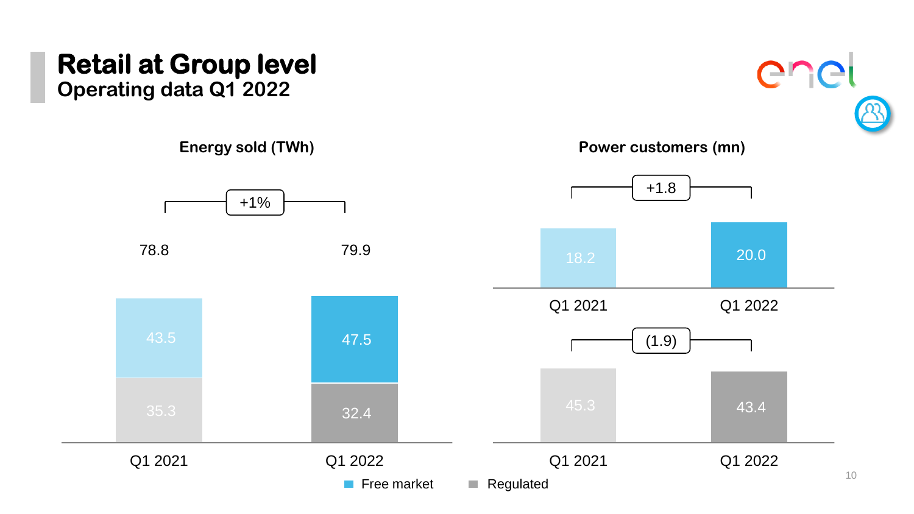# **Retail at Group level**

**Operating data Q1 2022**



enel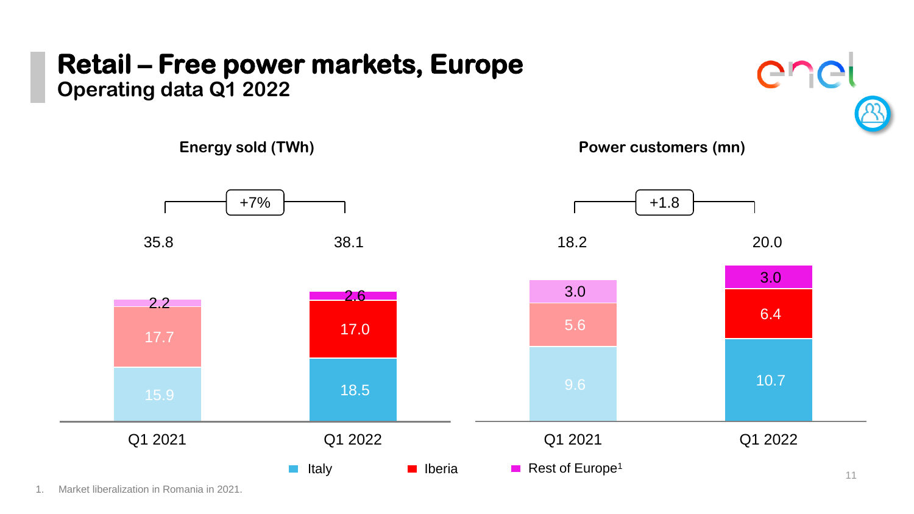### **Retail – Free power markets, Europe Operating data Q1 2022**

enel



1. Market liberalization in Romania in 2021.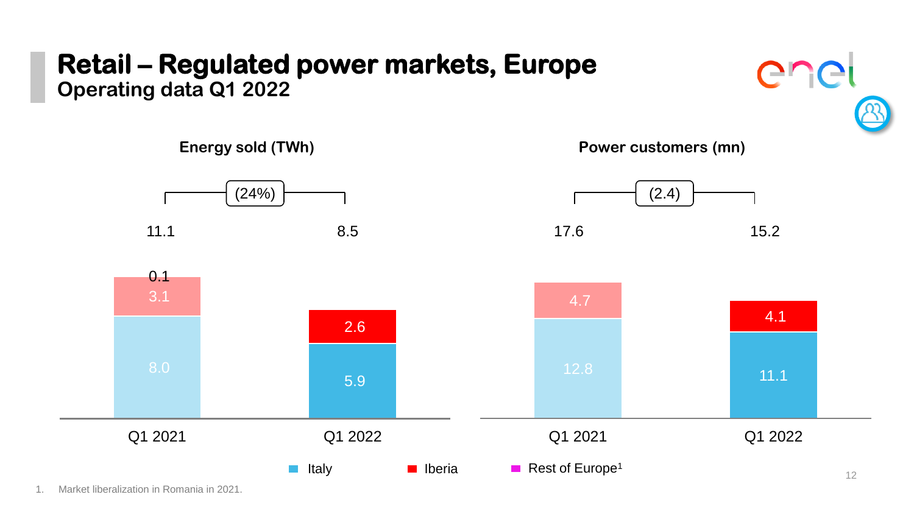### **Retail – Regulated power markets, Europe Operating data Q1 2022**





1. Market liberalization in Romania in 2021.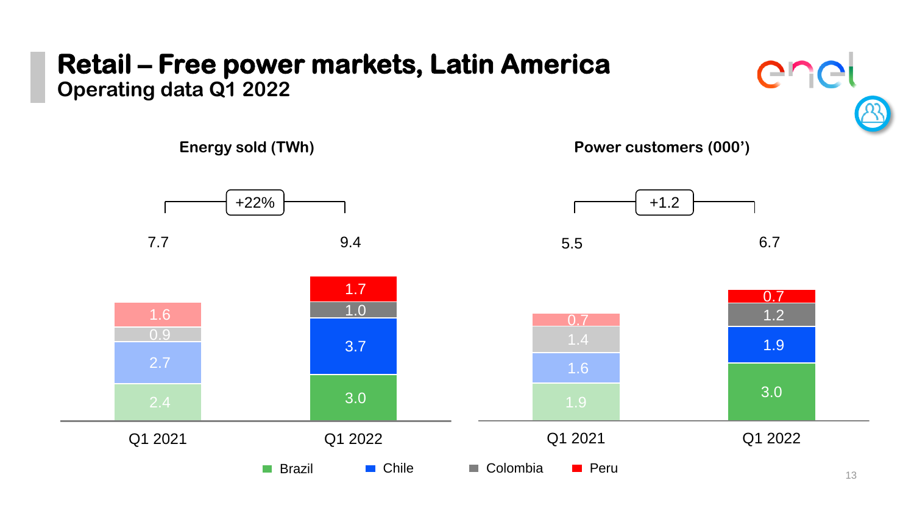### **Retail – Free power markets, Latin America Operating data Q1 2022**



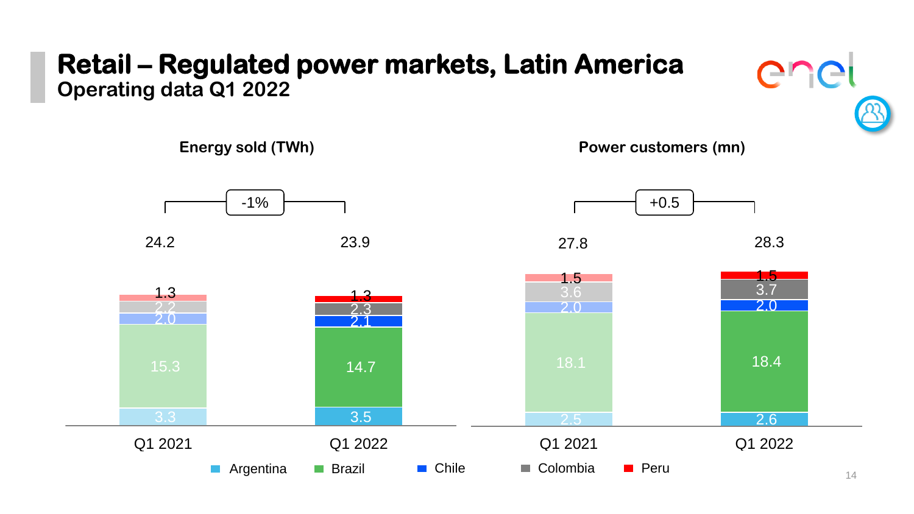### **Retail – Regulated power markets, Latin America Operating data Q1 2022**



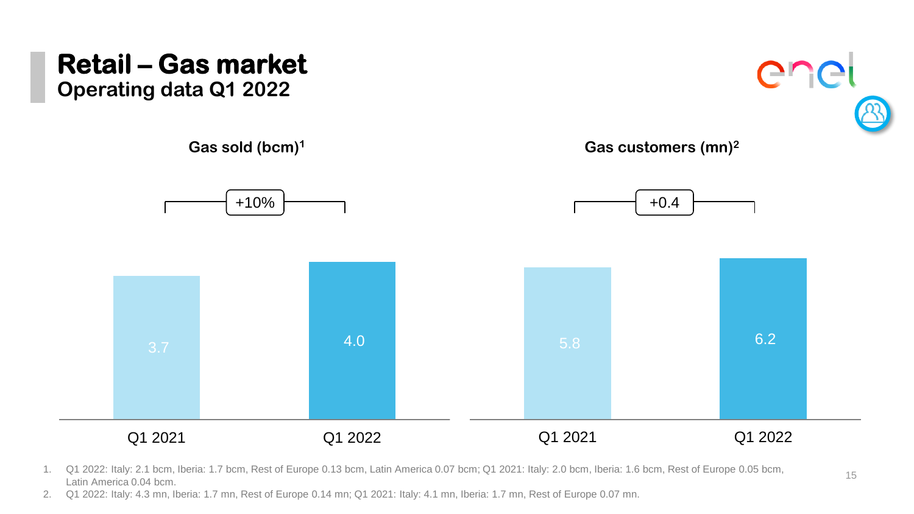

1. Q1 2022: Italy: 2.1 bcm, Iberia: 1.7 bcm, Rest of Europe 0.13 bcm, Latin America 0.07 bcm; Q1 2021: Italy: 2.0 bcm, Iberia: 1.6 bcm, Rest of Europe 0.05 bcm, 15 Latin America 0.04 bcm.

2. Q1 2022: Italy: 4.3 mn, Iberia: 1.7 mn, Rest of Europe 0.14 mn; Q1 2021: Italy: 4.1 mn, Iberia: 1.7 mn, Rest of Europe 0.07 mn.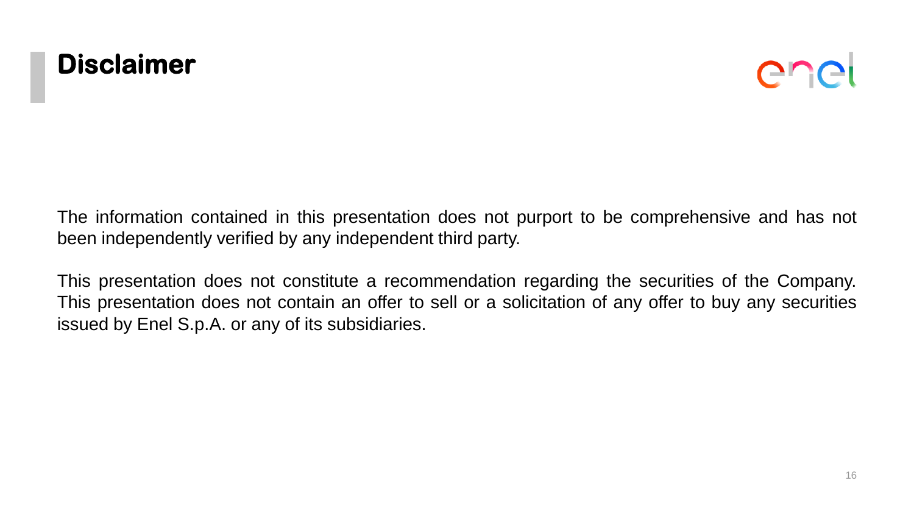



The information contained in this presentation does not purport to be comprehensive and has not been independently verified by any independent third party.

This presentation does not constitute a recommendation regarding the securities of the Company. This presentation does not contain an offer to sell or a solicitation of any offer to buy any securities issued by Enel S.p.A. or any of its subsidiaries.